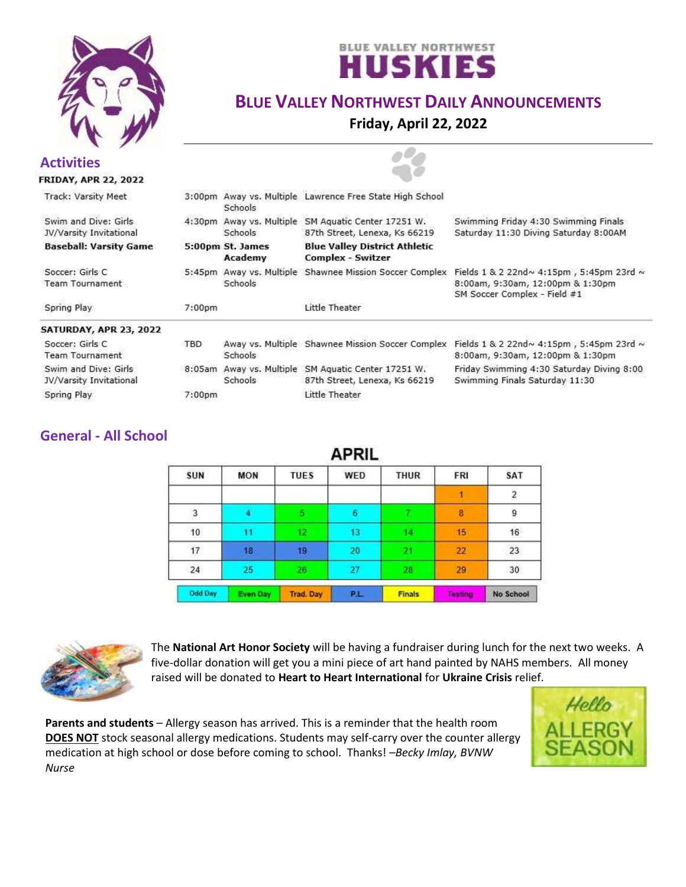



# **BLUE VALLEY NORTHWEST DAILY ANNOUNCEMENTS**

**Friday, April 22, 2022**

| <b>Activities</b><br><b>FRIDAY, APR 22, 2022</b> |                    |                             |                                                                               |                                                                                                                           |
|--------------------------------------------------|--------------------|-----------------------------|-------------------------------------------------------------------------------|---------------------------------------------------------------------------------------------------------------------------|
| Track: Varsity Meet                              |                    | Schools                     | 3:00pm Away vs. Multiple Lawrence Free State High School                      |                                                                                                                           |
| Swim and Dive: Girls<br>JV/Varsity Invitational  | 4:30pm             | Schools                     | Away vs. Multiple SM Aguatic Center 17251 W.<br>87th Street, Lenexa, Ks 66219 | Swimming Friday 4:30 Swimming Finals<br>Saturday 11:30 Diving Saturday 8:00AM                                             |
| <b>Baseball: Varsity Game</b>                    |                    | 5:00pm St. James<br>Academy | <b>Blue Valley District Athletic</b><br><b>Complex - Switzer</b>              |                                                                                                                           |
| Soccer: Girls C<br><b>Team Tournament</b>        | 5:45 <sub>pm</sub> | Schools                     | Away vs. Multiple Shawnee Mission Soccer Complex                              | Fields $1 & 2$ 22nd $\sim$ 4:15pm, 5:45pm 23rd $\sim$<br>8:00am, 9:30am, 12:00pm & 1:30pm<br>SM Soccer Complex - Field #1 |
| Spring Play                                      | 7:00 <sub>pm</sub> |                             | Little Theater                                                                |                                                                                                                           |
| SATURDAY, APR 23, 2022                           |                    |                             |                                                                               |                                                                                                                           |
| Soccer: Girls C<br><b>Team Tournament</b>        | TBD                | <b>Schools</b>              | Away vs. Multiple Shawnee Mission Soccer Complex                              | Fields 1 & 2 22nd~ 4:15pm, 5:45pm 23rd ~<br>8:00am, 9:30am, 12:00pm & 1:30pm                                              |
| Swim and Dive: Girls<br>JV/Varsity Invitational  | 8:05am             | Schools                     | Away vs. Multiple SM Aquatic Center 17251 W.<br>87th Street, Lenexa, Ks 66219 | Friday Swimming 4:30 Saturday Diving 8:00<br>Swimming Finals Saturday 11:30                                               |
| Spring Play                                      | 7:00 <sub>pm</sub> |                             | Little Theater                                                                |                                                                                                                           |

### **General - All School**

| APRIL      |                 |                  |            |               |         |                |  |  |
|------------|-----------------|------------------|------------|---------------|---------|----------------|--|--|
| <b>SUN</b> | <b>MON</b>      | <b>TUES</b>      | <b>WED</b> | <b>THUR</b>   | FRI     | <b>SAT</b>     |  |  |
|            |                 |                  |            |               |         | $\overline{2}$ |  |  |
| з          |                 |                  | 6          |               | 8       | 9              |  |  |
| 10         | 11              | 12.              | 13         | 14            | 15      | 16             |  |  |
| 17         | 18              | 19               | 20         | 21.           | 22      | 23             |  |  |
| 24         | 25              | 26               | 27         | 28            | 29      | 30             |  |  |
| Odd Day    | <b>Even Day</b> | <b>Trad. Day</b> | P.L.       | <b>Finals</b> | Testing | No School      |  |  |



The **National Art Honor Society** will be having a fundraiser during lunch for the next two weeks. A five-dollar donation will get you a mini piece of art hand painted by NAHS members. All money raised will be donated to **Heart to Heart International** for **Ukraine Crisis** relief.

**Parents and students** – Allergy season has arrived. This is a reminder that the health room **DOES NOT** stock seasonal allergy medications. Students may self-carry over the counter allergy medication at high school or dose before coming to school. Thanks! *–Becky Imlay, BVNW Nurse*

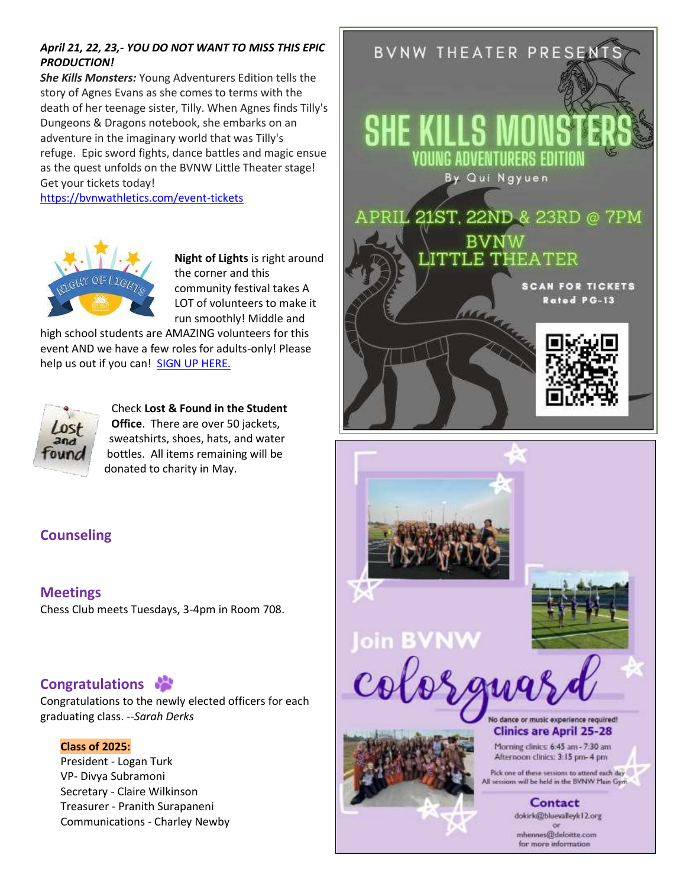### *April 21, 22, 23,- YOU DO NOT WANT TO MISS THIS EPIC PRODUCTION!*

*She Kills Monsters:* Young Adventurers Edition tells the story of Agnes Evans as she comes to terms with the death of her teenage sister, Tilly. When Agnes finds Tilly's Dungeons & Dragons notebook, she embarks on an adventure in the imaginary world that was Tilly's refuge. Epic sword fights, dance battles and magic ensue as the quest unfolds on the BVNW Little Theater stage! Get your tickets today!

<https://bvnwathletics.com/event-tickets>



**Night of Lights** is right around the corner and this community festival takes A LOT of volunteers to make it run smoothly! Middle and

high school students are AMAZING volunteers for this event AND we have a few roles for adults-only! Please help us out if you can! [SIGN UP HERE.](https://www.signupgenius.com/go/4090A49AEA62AA7F85-night1)



Check **Lost & Found in the Student Office**. There are over 50 jackets, sweatshirts, shoes, hats, and water bottles. All items remaining will be donated to charity in May.



Afternoon clinics: 3:15 pm- 4 pm

Pick one of these sessions to attend each day It sessions will be held in the BVNW Main Gym.

> Contact dokirk@bluevalleyk12.org mhennes@deloitte.com for more information

## **Counseling**

**Meetings** Chess Club meets Tuesdays, 3-4pm in Room 708.

## **Congratulations**

Congratulations to the newly elected officers for each graduating class. *--Sarah Derks*

#### **Class of 2025:**

President - Logan Turk VP- Divya Subramoni Secretary - Claire Wilkinson Treasurer - Pranith Surapaneni Communications - Charley Newby